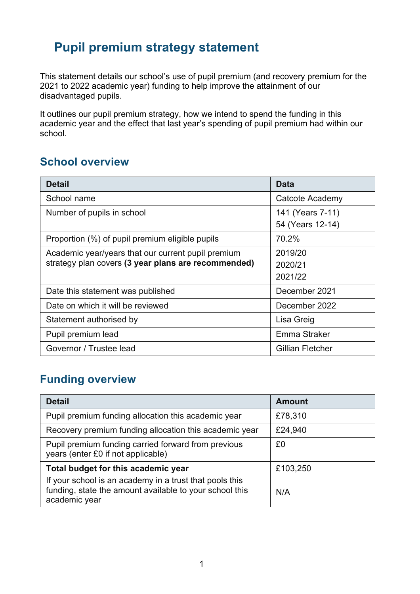# **Pupil premium strategy statement**

This statement details our school's use of pupil premium (and recovery premium for the 2021 to 2022 academic year) funding to help improve the attainment of our disadvantaged pupils.

It outlines our pupil premium strategy, how we intend to spend the funding in this academic year and the effect that last year's spending of pupil premium had within our school.

### **School overview**

| <b>Detail</b>                                       | <b>Data</b>             |
|-----------------------------------------------------|-------------------------|
| School name                                         | Catcote Academy         |
| Number of pupils in school                          | 141 (Years 7-11)        |
|                                                     | 54 (Years 12-14)        |
| Proportion (%) of pupil premium eligible pupils     | 70.2%                   |
| Academic year/years that our current pupil premium  | 2019/20                 |
| strategy plan covers (3 year plans are recommended) | 2020/21                 |
|                                                     | 2021/22                 |
| Date this statement was published                   | December 2021           |
| Date on which it will be reviewed                   | December 2022           |
| Statement authorised by                             | Lisa Greig              |
| Pupil premium lead                                  | Emma Straker            |
| Governor / Trustee lead                             | <b>Gillian Fletcher</b> |

## **Funding overview**

| <b>Detail</b>                                                                                                                       | <b>Amount</b> |
|-------------------------------------------------------------------------------------------------------------------------------------|---------------|
| Pupil premium funding allocation this academic year                                                                                 | £78,310       |
| Recovery premium funding allocation this academic year                                                                              | £24,940       |
| Pupil premium funding carried forward from previous<br>years (enter £0 if not applicable)                                           | £0            |
| Total budget for this academic year                                                                                                 | £103,250      |
| If your school is an academy in a trust that pools this<br>funding, state the amount available to your school this<br>academic year | N/A           |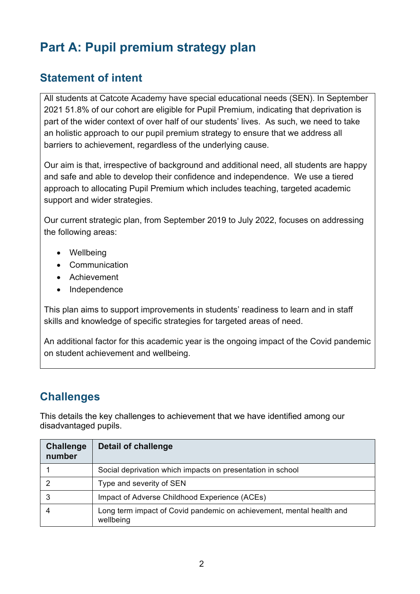# **Part A: Pupil premium strategy plan**

### **Statement of intent**

All students at Catcote Academy have special educational needs (SEN). In September 2021 51.8% of our cohort are eligible for Pupil Premium, indicating that deprivation is part of the wider context of over half of our students' lives. As such, we need to take an holistic approach to our pupil premium strategy to ensure that we address all barriers to achievement, regardless of the underlying cause.

Our aim is that, irrespective of background and additional need, all students are happy and safe and able to develop their confidence and independence. We use a tiered approach to allocating Pupil Premium which includes teaching, targeted academic support and wider strategies.

Our current strategic plan, from September 2019 to July 2022, focuses on addressing the following areas:

- Wellbeing
- Communication
- Achievement
- Independence

This plan aims to support improvements in students' readiness to learn and in staff skills and knowledge of specific strategies for targeted areas of need.

An additional factor for this academic year is the ongoing impact of the Covid pandemic on student achievement and wellbeing.

# **Challenges**

This details the key challenges to achievement that we have identified among our disadvantaged pupils.

| <b>Challenge</b><br>number | <b>Detail of challenge</b>                                                        |
|----------------------------|-----------------------------------------------------------------------------------|
|                            | Social deprivation which impacts on presentation in school                        |
|                            | Type and severity of SEN                                                          |
|                            | Impact of Adverse Childhood Experience (ACEs)                                     |
|                            | Long term impact of Covid pandemic on achievement, mental health and<br>wellbeing |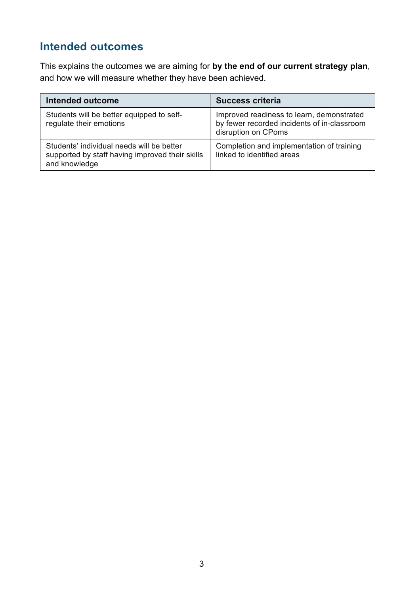### **Intended outcomes**

This explains the outcomes we are aiming for **by the end of our current strategy plan**, and how we will measure whether they have been achieved.

| <b>Intended outcome</b>                                                                                       | <b>Success criteria</b>                                                                                         |
|---------------------------------------------------------------------------------------------------------------|-----------------------------------------------------------------------------------------------------------------|
| Students will be better equipped to self-<br>regulate their emotions                                          | Improved readiness to learn, demonstrated<br>by fewer recorded incidents of in-classroom<br>disruption on CPoms |
| Students' individual needs will be better<br>supported by staff having improved their skills<br>and knowledge | Completion and implementation of training<br>linked to identified areas                                         |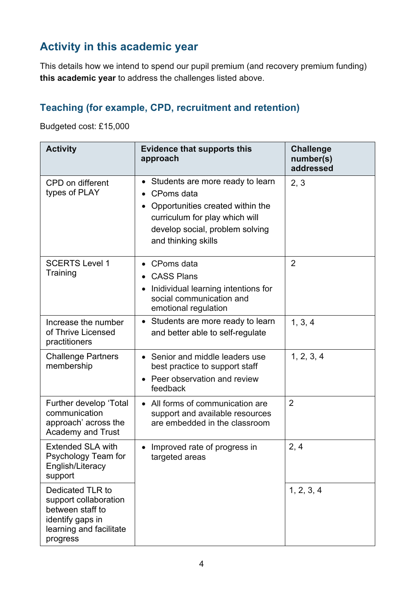# **Activity in this academic year**

This details how we intend to spend our pupil premium (and recovery premium funding) **this academic year** to address the challenges listed above.

#### **Teaching (for example, CPD, recruitment and retention)**

Budgeted cost: £15,000

| <b>Activity</b>                                                                                                          | <b>Evidence that supports this</b><br>approach                                                                                                                                                                        | <b>Challenge</b><br>number(s)<br>addressed |
|--------------------------------------------------------------------------------------------------------------------------|-----------------------------------------------------------------------------------------------------------------------------------------------------------------------------------------------------------------------|--------------------------------------------|
| CPD on different<br>types of PLAY                                                                                        | Students are more ready to learn<br>$\bullet$<br>CPoms data<br>$\bullet$<br>Opportunities created within the<br>$\bullet$<br>curriculum for play which will<br>develop social, problem solving<br>and thinking skills | 2, 3                                       |
| <b>SCERTS Level 1</b><br>Training                                                                                        | CPoms data<br><b>CASS Plans</b><br>Inidividual learning intentions for<br>social communication and<br>emotional regulation                                                                                            | $\overline{2}$                             |
| Increase the number<br>of Thrive Licensed<br>practitioners                                                               | • Students are more ready to learn<br>and better able to self-regulate                                                                                                                                                | 1, 3, 4                                    |
| <b>Challenge Partners</b><br>membership                                                                                  | Senior and middle leaders use<br>best practice to support staff<br>Peer observation and review<br>feedback                                                                                                            | 1, 2, 3, 4                                 |
| Further develop 'Total<br>communication<br>approach' across the<br><b>Academy and Trust</b>                              | • All forms of communication are<br>support and available resources<br>are embedded in the classroom                                                                                                                  | $\overline{2}$                             |
| <b>Extended SLA with</b><br>Psychology Team for<br>English/Literacy<br>support                                           | Improved rate of progress in<br>targeted areas                                                                                                                                                                        | 2, 4                                       |
| Dedicated TLR to<br>support collaboration<br>between staff to<br>identify gaps in<br>learning and facilitate<br>progress |                                                                                                                                                                                                                       | 1, 2, 3, 4                                 |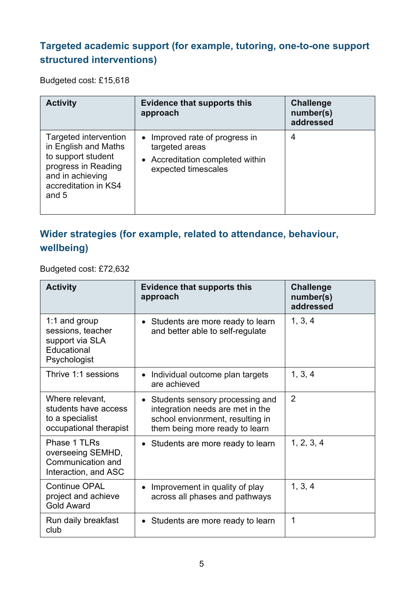#### **Targeted academic support (for example, tutoring, one-to-one support structured interventions)**

Budgeted cost: £15,618

| <b>Activity</b>                                                                                                                                 | <b>Evidence that supports this</b><br>approach                                                              | <b>Challenge</b><br>number(s)<br>addressed |
|-------------------------------------------------------------------------------------------------------------------------------------------------|-------------------------------------------------------------------------------------------------------------|--------------------------------------------|
| Targeted intervention<br>in English and Maths<br>to support student<br>progress in Reading<br>and in achieving<br>accreditation in KS4<br>and 5 | • Improved rate of progress in<br>targeted areas<br>• Accreditation completed within<br>expected timescales | 4                                          |

### **Wider strategies (for example, related to attendance, behaviour, wellbeing)**

Budgeted cost: £72,632

| <b>Activity</b>                                                                      | <b>Evidence that supports this</b><br>approach                                                                                            | <b>Challenge</b><br>number(s)<br>addressed |
|--------------------------------------------------------------------------------------|-------------------------------------------------------------------------------------------------------------------------------------------|--------------------------------------------|
| 1:1 and group<br>sessions, teacher<br>support via SLA<br>Educational<br>Psychologist | • Students are more ready to learn<br>and better able to self-regulate                                                                    | 1, 3, 4                                    |
| Thrive 1:1 sessions                                                                  | • Individual outcome plan targets<br>are achieved                                                                                         | 1, 3, 4                                    |
| Where relevant,<br>students have access<br>to a specialist<br>occupational therapist | Students sensory processing and<br>integration needs are met in the<br>school envionrment, resulting in<br>them being more ready to learn | $\overline{2}$                             |
| Phase 1 TLRs<br>overseeing SEMHD,<br>Communication and<br>Interaction, and ASC       | Students are more ready to learn                                                                                                          | 1, 2, 3, 4                                 |
| <b>Continue OPAL</b><br>project and achieve<br><b>Gold Award</b>                     | Improvement in quality of play<br>across all phases and pathways                                                                          | 1, 3, 4                                    |
| Run daily breakfast<br>club                                                          | • Students are more ready to learn                                                                                                        | 1                                          |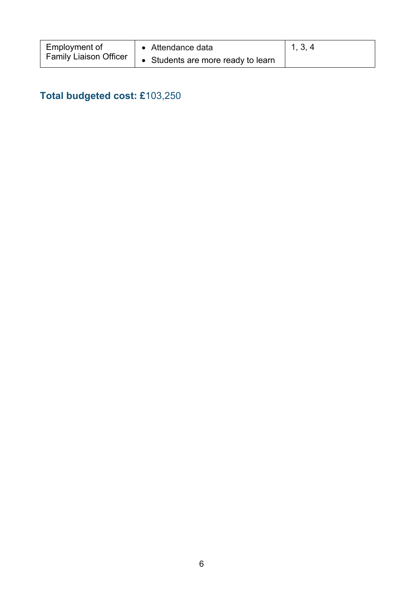| Employment of                 | • Attendance data                  | 1, 3, 4 |
|-------------------------------|------------------------------------|---------|
| <b>Family Liaison Officer</b> | • Students are more ready to learn |         |

## **Total budgeted cost: £**103,250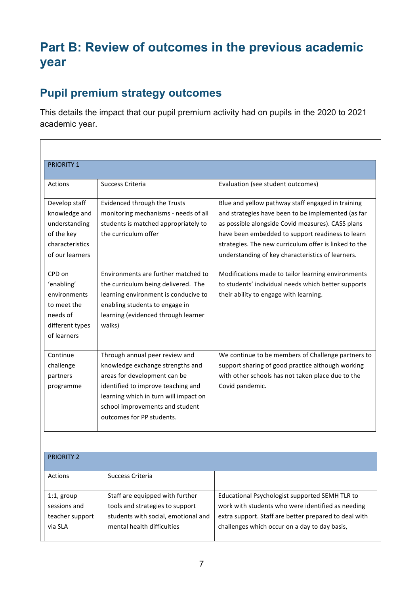# **Part B: Review of outcomes in the previous academic year**

### **Pupil premium strategy outcomes**

This details the impact that our pupil premium activity had on pupils in the 2020 to 2021 academic year.

| <b>PRIORITY 1</b>                                                                                                                                                                                        |                                                                                                                                                                                                                                                                                                                                               |                                                                                                                                                                                                                                                                                                                                                                                                                                                                                       |
|----------------------------------------------------------------------------------------------------------------------------------------------------------------------------------------------------------|-----------------------------------------------------------------------------------------------------------------------------------------------------------------------------------------------------------------------------------------------------------------------------------------------------------------------------------------------|---------------------------------------------------------------------------------------------------------------------------------------------------------------------------------------------------------------------------------------------------------------------------------------------------------------------------------------------------------------------------------------------------------------------------------------------------------------------------------------|
| Actions                                                                                                                                                                                                  | Success Criteria                                                                                                                                                                                                                                                                                                                              | Evaluation (see student outcomes)                                                                                                                                                                                                                                                                                                                                                                                                                                                     |
| Develop staff<br>knowledge and<br>understanding<br>of the key<br>characteristics<br>of our learners<br>CPD on<br>'enabling'<br>environments<br>to meet the<br>needs of<br>different types<br>of learners | Evidenced through the Trusts<br>monitoring mechanisms - needs of all<br>students is matched appropriately to<br>the curriculum offer<br>Environments are further matched to<br>the curriculum being delivered. The<br>learning environment is conducive to<br>enabling students to engage in<br>learning (evidenced through learner<br>walks) | Blue and yellow pathway staff engaged in training<br>and strategies have been to be implemented (as far<br>as possible alongside Covid measures). CASS plans<br>have been embedded to support readiness to learn<br>strategies. The new curriculum offer is linked to the<br>understanding of key characteristics of learners.<br>Modifications made to tailor learning environments<br>to students' individual needs which better supports<br>their ability to engage with learning. |
| Continue<br>challenge<br>partners<br>programme                                                                                                                                                           | Through annual peer review and<br>knowledge exchange strengths and<br>areas for development can be<br>identified to improve teaching and<br>learning which in turn will impact on<br>school improvements and student<br>outcomes for PP students.                                                                                             | We continue to be members of Challenge partners to<br>support sharing of good practice although working<br>with other schools has not taken place due to the<br>Covid pandemic.                                                                                                                                                                                                                                                                                                       |

| <b>PRIORITY 2</b> |                                     |                                                       |
|-------------------|-------------------------------------|-------------------------------------------------------|
| Actions           | Success Criteria                    |                                                       |
| $1:1$ , group     | Staff are equipped with further     | Educational Psychologist supported SEMH TLR to        |
| sessions and      | tools and strategies to support     | work with students who were identified as needing     |
| teacher support   | students with social, emotional and | extra support. Staff are better prepared to deal with |
| via SLA           | mental health difficulties          | challenges which occur on a day to day basis,         |